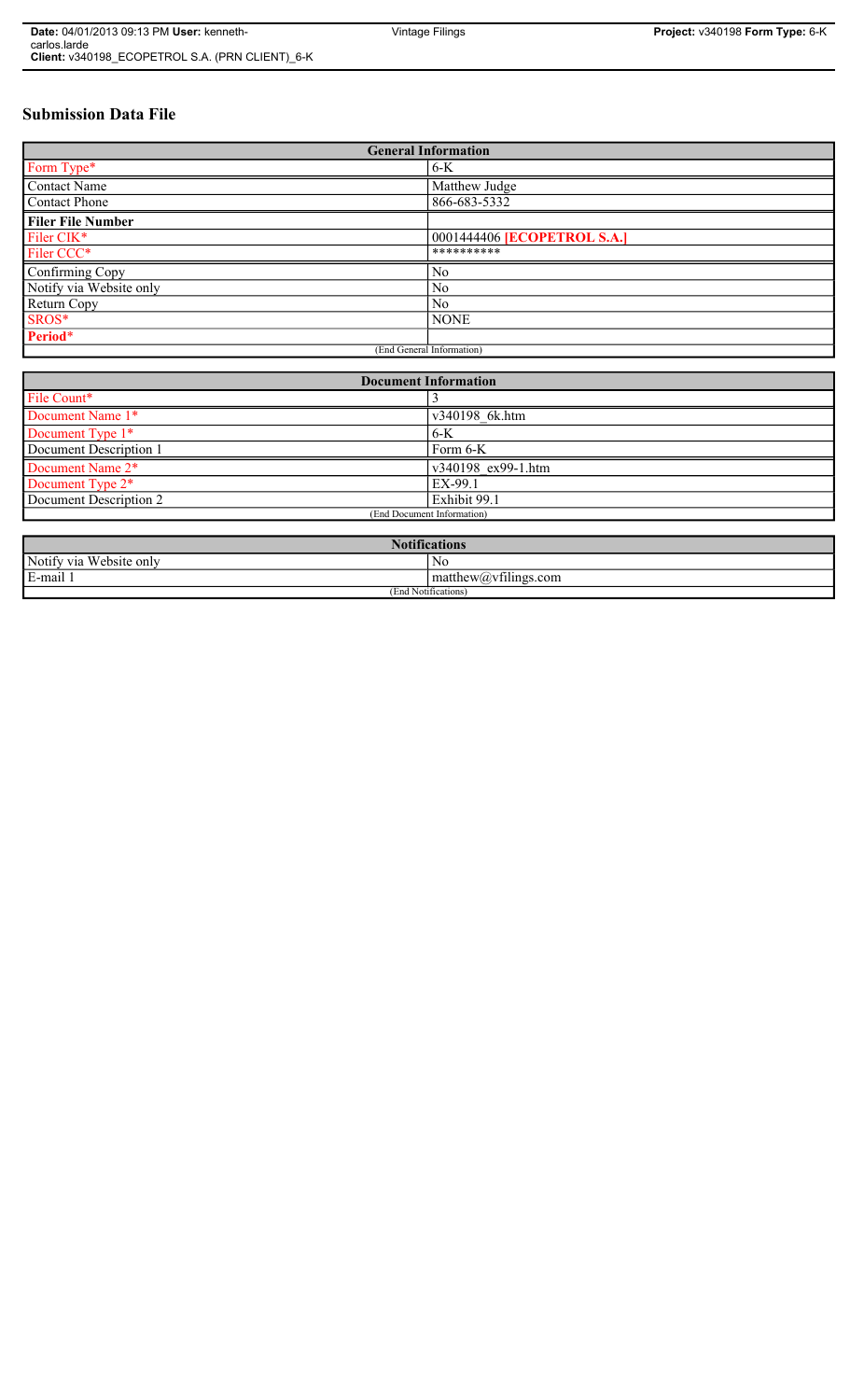# **Submission Data File**

| <b>General Information</b> |                             |  |
|----------------------------|-----------------------------|--|
| Form Type*                 | $6-K$                       |  |
| Contact Name               | Matthew Judge               |  |
| Contact Phone              | 866-683-5332                |  |
| <b>Filer File Number</b>   |                             |  |
| Filer CIK*                 | 0001444406 [ECOPETROL S.A.] |  |
| Filer CCC*                 | **********                  |  |
| Confirming Copy            | N <sub>0</sub>              |  |
| Notify via Website only    | N <sub>0</sub>              |  |
| Return Copy                | No.                         |  |
| SROS*                      | <b>NONE</b>                 |  |
| Period*                    |                             |  |
| (End General Information)  |                             |  |

| <b>Document Information</b>  |                    |  |
|------------------------------|--------------------|--|
| File Count*                  |                    |  |
| Document Name 1*             | v340198 6k.htm     |  |
| Document Type 1*             | $6 - K$            |  |
| Document Description 1       | Form 6-K           |  |
| Document Name 2*             | v340198 ex99-1.htm |  |
| Document Type 2 <sup>*</sup> | EX-99.1            |  |
| Document Description 2       | Exhibit 99.1       |  |
| (End Document Information)   |                    |  |
|                              |                    |  |
| <b>Notifications</b>         |                    |  |

| NOUHCAUONS                                 |                                             |  |
|--------------------------------------------|---------------------------------------------|--|
| Notify<br>$T$ $T$<br>' via<br>ebsite only/ | N <sub>0</sub>                              |  |
| E-mail                                     | $\sim$ $\sim$<br>$mathew(a)$ , villings.com |  |
| <sup>1</sup> Notifications.<br>(End        |                                             |  |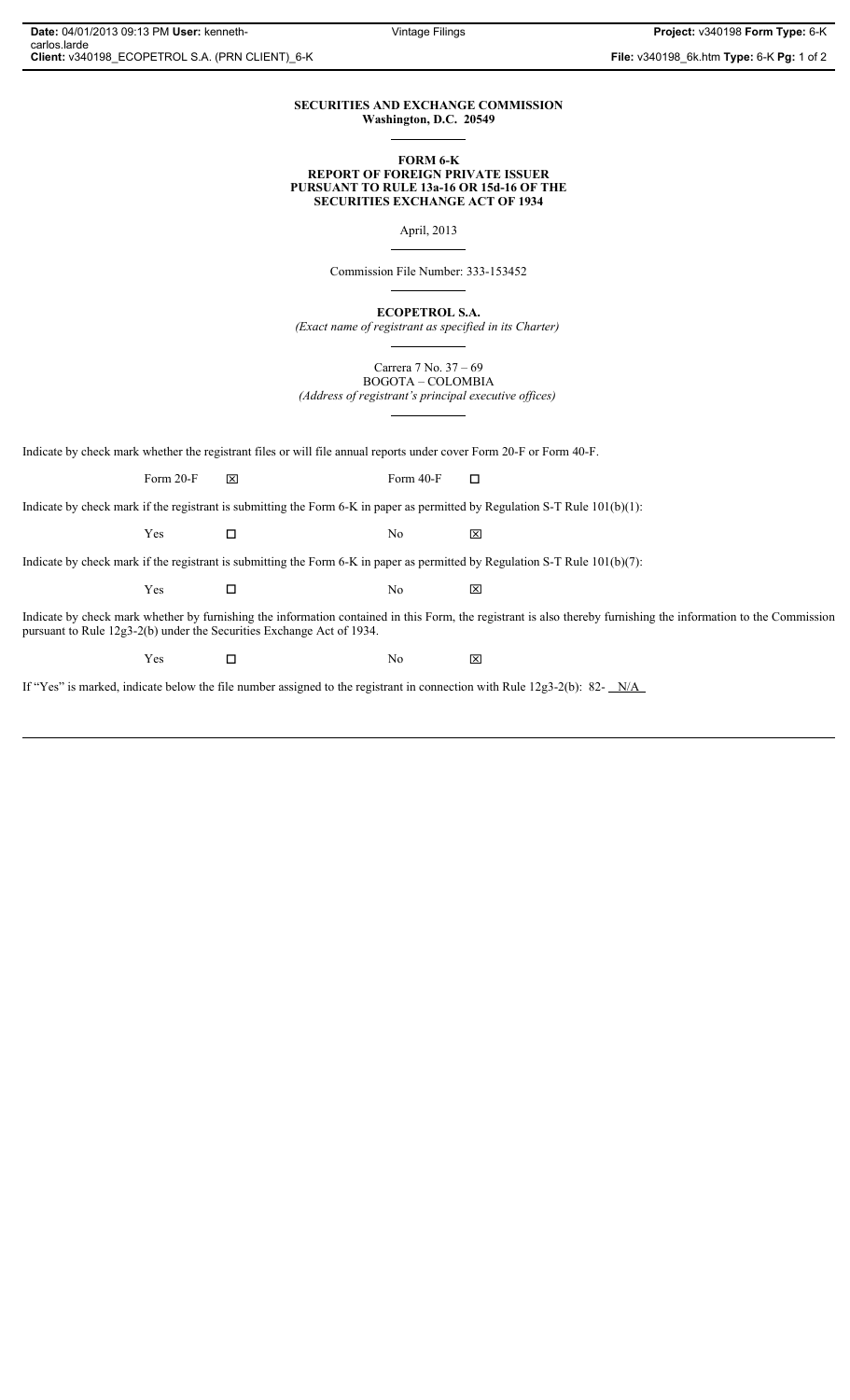### **SECURITIES AND EXCHANGE COMMISSION Washington, D.C. 20549**

#### **FORM 6-K REPORT OF FOREIGN PRIVATE ISSUER PURSUANT TO RULE 13a-16 OR 15d-16 OF THE SECURITIES EXCHANGE ACT OF 1934**

April, 2013

Commission File Number: 333-153452

**ECOPETROL S.A.**

*(Exact name of registrant as specified in its Charter)*

Carrera 7 No. 37 – 69 BOGOTA – COLOMBIA

*(Address of registrant's principal executive offices)*

Indicate by check mark whether the registrant files or will file annual reports under cover Form 20-F or Form 40-F.

Form 20-F  $\boxtimes$  Form 40-F  $\Box$ 

Indicate by check mark if the registrant is submitting the Form 6-K in paper as permitted by Regulation S-T Rule 101(b)(1):

 $Yes$   $\Box$   $No$   $X$ 

Indicate by check mark if the registrant is submitting the Form 6-K in paper as permitted by Regulation S-T Rule 101(b)(7):

 $Yes$   $\square$ 

Indicate by check mark whether by furnishing the information contained in this Form, the registrant is also thereby furnishing the information to the Commission pursuant to Rule 12g3-2(b) under the Securities Exchange Act of 1934.

 $Yes$   $\Box$ 

If "Yes" is marked, indicate below the file number assigned to the registrant in connection with Rule 12g3-2(b): 82- N/A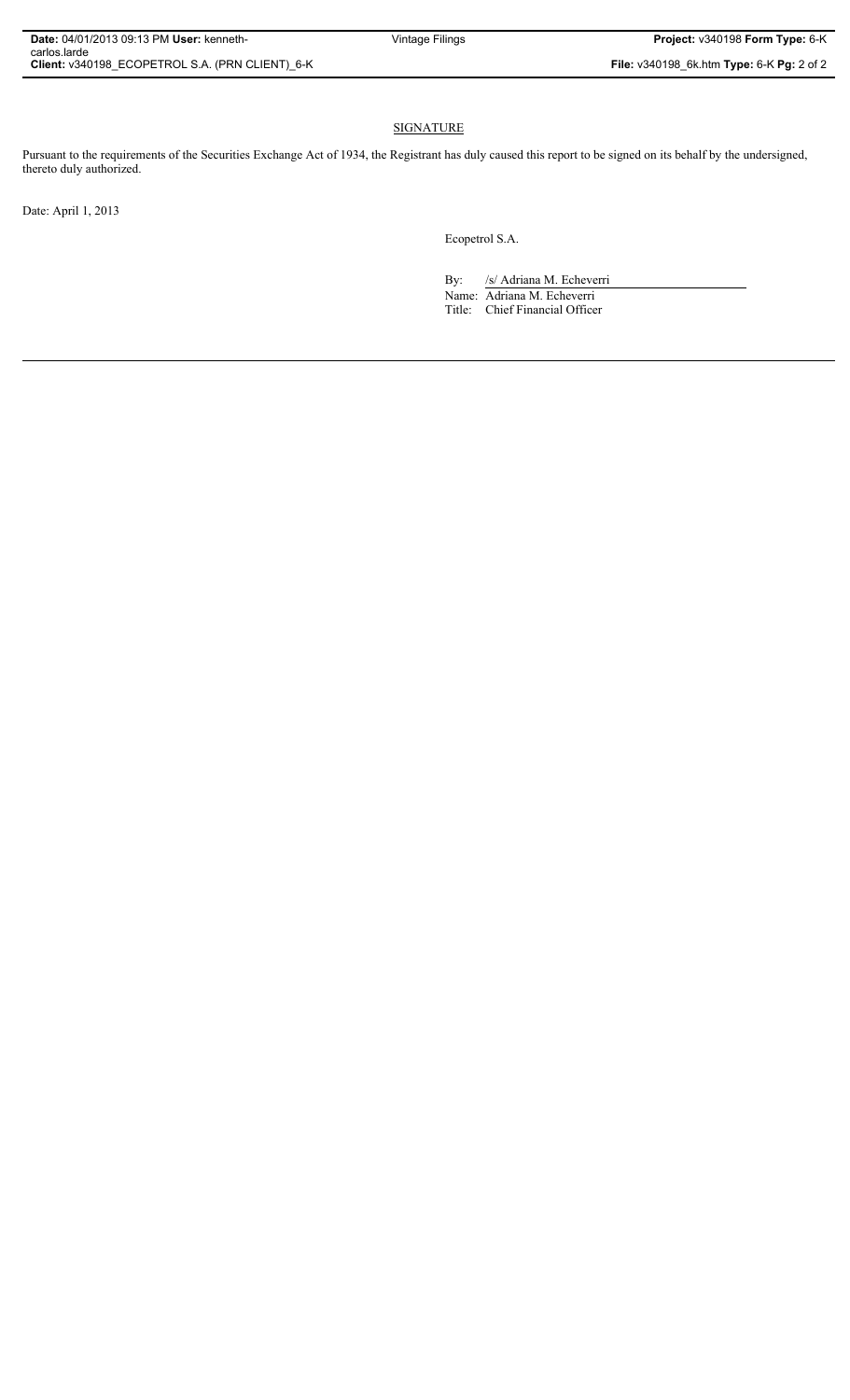| Date: 04/01/2013 09:13 PM User: kenneth-        |  |
|-------------------------------------------------|--|
| carlos.larde                                    |  |
| Client: v340198 ECOPETROL S.A. (PRN CLIENT) 6-K |  |

## SIGNATURE

Pursuant to the requirements of the Securities Exchange Act of 1934, the Registrant has duly caused this report to be signed on its behalf by the undersigned, thereto duly authorized.

Date: April 1, 2013

Ecopetrol S.A.

By: /s/ Adriana M. Echeverri Name: Adriana M. Echeverri Title: Chief Financial Officer